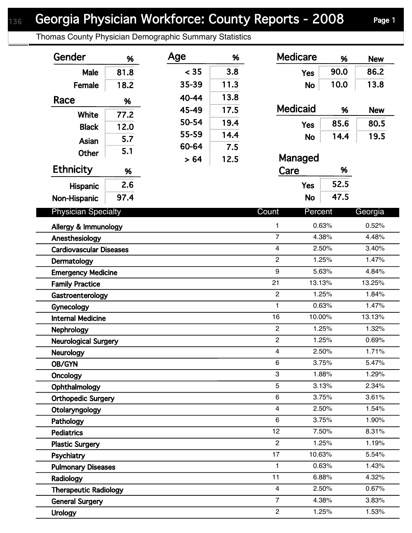Thomas County Physician Demographic Summary Statistics

| Gender                                 | %    | Age   | %    | <b>Medicare</b>         | %              | <b>New</b>     |
|----------------------------------------|------|-------|------|-------------------------|----------------|----------------|
| Male                                   | 81.8 | < 35  | 3.8  | <b>Yes</b>              | 90.0           | 86.2           |
| Female                                 | 18.2 | 35-39 | 11.3 | <b>No</b>               | 10.0           | 13.8           |
| Race                                   | %    | 40-44 | 13.8 |                         |                |                |
|                                        |      | 45-49 | 17.5 | <b>Medicaid</b>         | %              | <b>New</b>     |
| White                                  | 77.2 | 50-54 | 19.4 | <b>Yes</b>              | 85.6           | 80.5           |
| <b>Black</b>                           | 12.0 | 55-59 | 14.4 | <b>No</b>               | 14.4           | 19.5           |
| <b>Asian</b>                           | 5.7  | 60-64 | 7.5  |                         |                |                |
| <b>Other</b>                           | 5.1  | > 64  | 12.5 | Managed                 |                |                |
| <b>Ethnicity</b>                       | %    |       |      | Care                    | %              |                |
| <b>Hispanic</b>                        | 2.6  |       |      | <b>Yes</b>              | 52.5           |                |
| Non-Hispanic                           | 97.4 |       |      | <b>No</b>               | 47.5           |                |
| <b>Physician Specialty</b>             |      |       |      | Count<br>Percent        |                | Georgia        |
|                                        |      |       |      |                         |                |                |
| Allergy & Immunology<br>Anesthesiology |      |       |      | 1<br>$\overline{7}$     | 0.63%<br>4.38% | 0.52%<br>4.48% |
| <b>Cardiovascular Diseases</b>         |      |       |      | $\overline{4}$          | 2.50%          | 3.40%          |
| Dermatology                            |      |       |      | $\overline{2}$          | 1.25%          | 1.47%          |
| <b>Emergency Medicine</b>              |      |       |      | 9                       | 5.63%          | 4.84%          |
| <b>Family Practice</b>                 |      |       |      | 21<br>13.13%            |                | 13.25%         |
| Gastroenterology                       |      |       |      | $\overline{c}$          | 1.25%          | 1.84%          |
| Gynecology                             |      |       |      | 1                       | 0.63%          | 1.47%          |
| <b>Internal Medicine</b>               |      |       |      | 16<br>10.00%            |                | 13.13%         |
| <b>Nephrology</b>                      |      |       |      | $\overline{c}$          | 1.25%          | 1.32%          |
| <b>Neurological Surgery</b>            |      |       |      | $\overline{2}$          | 1.25%          | 0.69%          |
| Neurology                              |      |       |      | 4                       | 2.50%          | 1.71%          |
| <b>OB/GYN</b>                          |      |       |      | 6                       | 3.75%          | 5.47%          |
| Oncology                               |      |       |      | 3                       | 1.88%          | 1.29%          |
| Ophthalmology                          |      |       |      | 5                       | 3.13%          | 2.34%          |
| <b>Orthopedic Surgery</b>              |      |       |      | 6                       | 3.75%          | 3.61%          |
| Otolaryngology                         |      |       |      | $\overline{\mathbf{4}}$ | 2.50%          | 1.54%          |
| Pathology                              |      |       |      | 6                       | 3.75%          | 1.90%          |
| <b>Pediatrics</b>                      |      |       |      | 12                      | 7.50%          | 8.31%          |
| <b>Plastic Surgery</b>                 |      |       |      | $\overline{2}$          | 1.25%          | 1.19%          |
| Psychiatry                             |      |       |      | 17<br>10.63%            |                | 5.54%          |
| <b>Pulmonary Diseases</b>              |      |       |      | 1                       | 0.63%          | 1.43%          |
| Radiology                              |      |       |      | 11                      | 6.88%          | 4.32%          |
| <b>Therapeutic Radiology</b>           |      |       |      | 4                       | 2.50%          | 0.67%          |
| <b>General Surgery</b>                 |      |       |      | $\overline{7}$          | 4.38%          | 3.83%          |
| <b>Urology</b>                         |      |       |      | $\overline{c}$          | 1.25%          | 1.53%          |